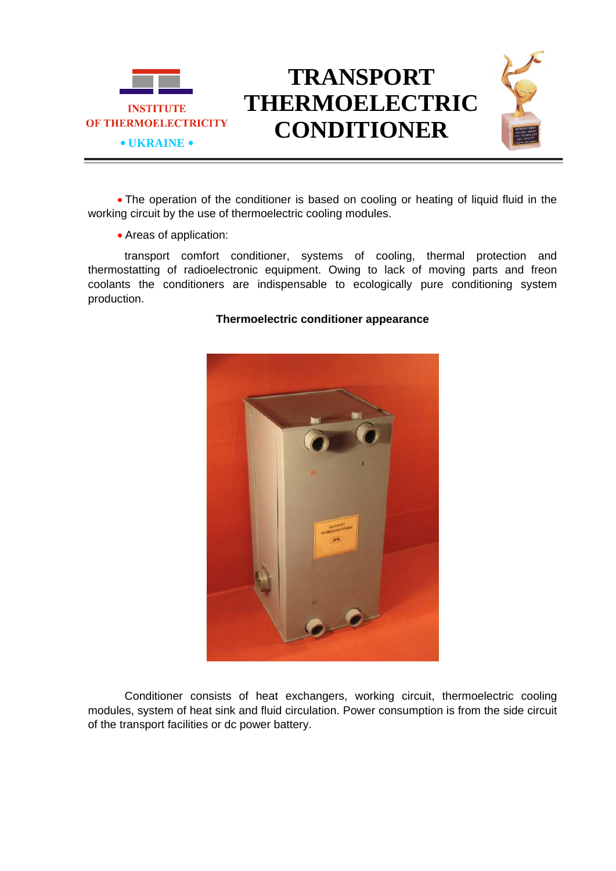

## **TRANSPORT THERMOELECTRIC CONDITIONER**



• The operation of the conditioner is based on cooling or heating of liquid fluid in the working circuit by the use of thermoelectric cooling modules.

• Areas of application:

transport comfort conditioner, systems of cooling, thermal protection and thermostatting of radioelectronic equipment. Owing to lack of moving parts and freon coolants the conditioners are indispensable to ecologically pure conditioning system production.

## **Thermoelectric conditioner appearance**

Conditioner consists of heat exchangers, working circuit, thermoelectric cooling modules, system of heat sink and fluid circulation. Power consumption is from the side circuit of the transport facilities or dc power battery.